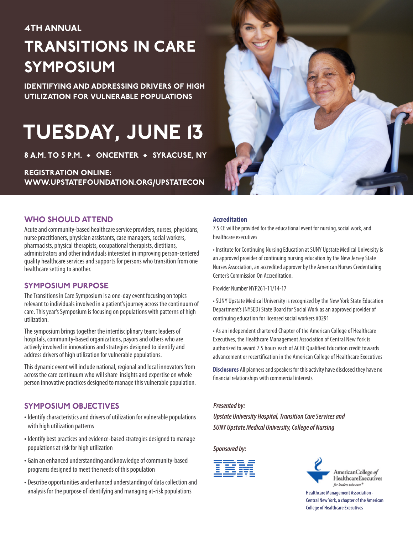### **4TH ANNUAL**

# **TRANSITIONS IN CARE SYMPOSIUM**

**IDENTIFYING AND ADDRESSING DRIVERS OF HIGH UTILIZATION FOR VULNERABLE POPULATIONS**

# **TUESDAY, JUNE 13**

**8 A.M. TO 5 P.M. • ONCENTER • SYRACUSE, NY**

### **REGISTRATION ONLINE: WWW.UPSTATEFOUNDATION.ORG/UPSTATECON**



### **WHO SHOULD ATTEND**

Acute and community-based healthcare service providers, nurses, physicians, nurse practitioners, physician assistants, case managers, social workers, pharmacists, physical therapists, occupational therapists, dietitians, administrators and other individuals interested in improving person-centered quality healthcare services and supports for persons who transition from one healthcare setting to another.

### **SYMPOSIUM PURPOSE**

The Transitions in Care Symposium is a one-day event focusing on topics relevant to individuals involved in a patient's journey across the continuum of care. This year's Symposium is focusing on populations with patterns of high utilization.

The symposium brings together the interdisciplinary team; leaders of hospitals, community-based organizations, payors and others who are actively involved in innovations and strategies designed to identify and address drivers of high utilization for vulnerable populations.

This dynamic event will include national, regional and local innovators from across the care continuum who will share insights and expertise on whole person innovative practices designed to manage this vulnerable population.

### **SYMPOSIUM OBJECTIVES**

- Identify characteristics and drivers of utilization for vulnerable populations with high utilization patterns
- Identify best practices and evidence-based strategies designed to manage populations at risk for high utilization
- Gain an enhanced understanding and knowledge of community-based programs designed to meet the needs of this population
- Describe opportunities and enhanced understanding of data collection and analysis for the purpose of identifying and managing at-risk populations

### **Accreditation**

7.5 CE will be provided for the educational event for nursing, social work, and healthcare executives

• Institute for Continuing Nursing Education at SUNY Upstate Medical University is an approved provider of continuing nursing education by the New Jersey State Nurses Association, an accredited approver by the American Nurses Credentialing Center's Commission On Accreditation.

Provider Number NYP261-11/14-17

• SUNY Upstate Medical University is recognized by the New York State Education Department's (NYSED) State Board for Social Work as an approved provider of continuing education for licensed social workers #0291

• As an independent chartered Chapter of the American College of Healthcare Executives, the Healthcare Management Association of Central New York is authorized to award 7.5 hours each of ACHE Qualified Education credit towards advancement or recertification in the American College of Healthcare Executives

**Disclosures** All planners and speakers for this activity have disclosed they have no financial relationships with commercial interests

### *Presented by:*

*Upstate University Hospital, Transition Care Services and* **SUNY** Upstate Medical University, College of Nursing

*Sponsored by:*





**Healthcare Management Association - Central NewYork,achapter of the American College of Healthcare Executives**